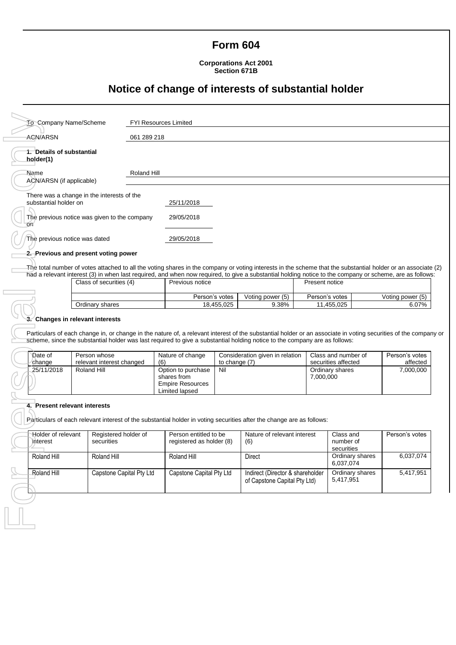### **Form 604**

**Corporations Act 2001 Section 671B**

## **Notice of change of interests of substantial holder**

| 061 289 218                                                                                                                                                                                                                                                                                                                                                                         |                       |  |  |  |  |  |  |
|-------------------------------------------------------------------------------------------------------------------------------------------------------------------------------------------------------------------------------------------------------------------------------------------------------------------------------------------------------------------------------------|-----------------------|--|--|--|--|--|--|
|                                                                                                                                                                                                                                                                                                                                                                                     |                       |  |  |  |  |  |  |
| Roland Hill<br>Name<br>ACN/ARSN (if applicable)                                                                                                                                                                                                                                                                                                                                     |                       |  |  |  |  |  |  |
|                                                                                                                                                                                                                                                                                                                                                                                     |                       |  |  |  |  |  |  |
|                                                                                                                                                                                                                                                                                                                                                                                     |                       |  |  |  |  |  |  |
|                                                                                                                                                                                                                                                                                                                                                                                     |                       |  |  |  |  |  |  |
|                                                                                                                                                                                                                                                                                                                                                                                     |                       |  |  |  |  |  |  |
| The total number of votes attached to all the voting shares in the company or voting interests in the scheme that the substantial holder or an associate (2)<br>had a relevant interest (3) in when last required, and when now required, to give a substantial holding notice to the company or scheme, are as follows:                                                            |                       |  |  |  |  |  |  |
| Present notice                                                                                                                                                                                                                                                                                                                                                                      |                       |  |  |  |  |  |  |
| Person's votes                                                                                                                                                                                                                                                                                                                                                                      | Voting power (5)      |  |  |  |  |  |  |
| 11,455,025                                                                                                                                                                                                                                                                                                                                                                          | 6.07%                 |  |  |  |  |  |  |
| scheme, since the substantial holder was last required to give a substantial holding notice to the company are as follows:<br>Class and number of                                                                                                                                                                                                                                   | Person's votes        |  |  |  |  |  |  |
| securities affected<br>Ordinary shares<br>7,000,000                                                                                                                                                                                                                                                                                                                                 | affected<br>7,000,000 |  |  |  |  |  |  |
| 4. Present relevant interests<br>Particulars of each relevant interest of the substantial holder in voting securities after the change are as follows:<br>Person entitled to be<br>Holder of relevant<br>Registered holder of<br>Nature of relevant interest<br>Person's votes<br>Class and<br>number of<br>interest<br>securities<br>registered as holder (8)<br>(6)<br>securities |                       |  |  |  |  |  |  |
| Ordinary shares<br>6,037,074                                                                                                                                                                                                                                                                                                                                                        | 6,037,074             |  |  |  |  |  |  |
| Ordinary shares<br>Indirect (Director & shareholder<br>5,417,951                                                                                                                                                                                                                                                                                                                    | 5,417,951             |  |  |  |  |  |  |
|                                                                                                                                                                                                                                                                                                                                                                                     |                       |  |  |  |  |  |  |

| Class of securities (4) | Previous notice                    |       | Present notice |                  |  |
|-------------------------|------------------------------------|-------|----------------|------------------|--|
|                         | Votina power (5)<br>Person's votes |       | Person's votes | Voting power (5) |  |
| Ordinary shares         | 18.455.025                         | 9.38% | .455.025       | 6.07%            |  |

#### **3. Changes in relevant interests**

 $\Gamma$ 

| Date of<br>Person whose<br>relevant interest changed<br>change |             | Nature of change<br>(6)                                                        | Consideration given in relation<br>to change (7) | Class and number of<br>securities affected | Person's votes<br>affected |
|----------------------------------------------------------------|-------------|--------------------------------------------------------------------------------|--------------------------------------------------|--------------------------------------------|----------------------------|
| 25/11/2018                                                     | Roland Hill | Option to purchase<br>shares from<br><b>Empire Resources</b><br>Limited lapsed | Nil                                              | Ordinary shares<br>7.000.000               | 7.000.000                  |

#### **4. Present relevant interests**

| Holder of relevant<br>interest | Registered holder of<br>securities | Person entitled to be<br>registered as holder (8) | Nature of relevant interest<br>(6)                               | Class and<br>number of<br>securities | Person's votes |
|--------------------------------|------------------------------------|---------------------------------------------------|------------------------------------------------------------------|--------------------------------------|----------------|
| Roland Hill                    | Roland Hill                        | Roland Hill                                       | Direct                                                           | Ordinary shares<br>6.037.074         | 6,037,074      |
| Roland Hill                    | Capstone Capital Pty Ltd           | Capstone Capital Pty Ltd                          | Indirect (Director & shareholder<br>of Capstone Capital Pty Ltd) | Ordinary shares<br>5.417.951         | 5,417,951      |